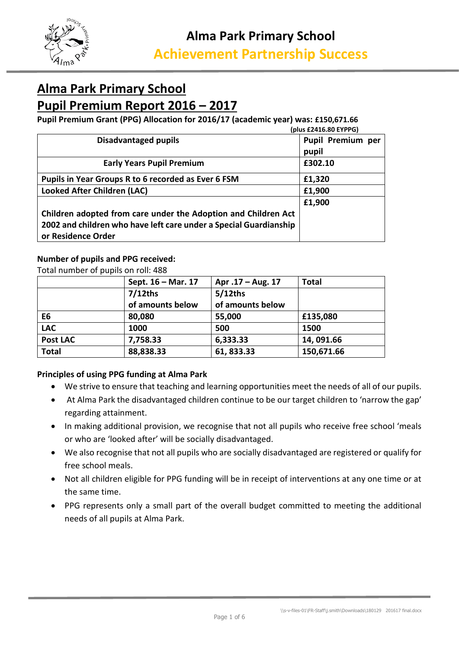

# **Alma Park Primary School Pupil Premium Report 2016 – 2017**

**Pupil Premium Grant (PPG) Allocation for 2016/17 (academic year) was: £150,671.66**

| (plus £2416.80 EYPPG)                                             |                   |  |  |  |  |  |
|-------------------------------------------------------------------|-------------------|--|--|--|--|--|
| <b>Disadvantaged pupils</b>                                       | Pupil Premium per |  |  |  |  |  |
|                                                                   | pupil             |  |  |  |  |  |
| <b>Early Years Pupil Premium</b>                                  | £302.10           |  |  |  |  |  |
| Pupils in Year Groups R to 6 recorded as Ever 6 FSM               | £1,320            |  |  |  |  |  |
| <b>Looked After Children (LAC)</b>                                | £1,900            |  |  |  |  |  |
|                                                                   | £1,900            |  |  |  |  |  |
| Children adopted from care under the Adoption and Children Act    |                   |  |  |  |  |  |
| 2002 and children who have left care under a Special Guardianship |                   |  |  |  |  |  |
| or Residence Order                                                |                   |  |  |  |  |  |

#### **Number of pupils and PPG received:**

Total number of pupils on roll: 488

|                 | Sept. 16 – Mar. 17 | Apr .17 - Aug. 17 | <b>Total</b> |
|-----------------|--------------------|-------------------|--------------|
|                 | $7/12$ ths         | $5/12$ ths        |              |
|                 | of amounts below   | of amounts below  |              |
| E6              | 80,080             | 55,000            | £135,080     |
| <b>LAC</b>      | 1000               | 500               | 1500         |
| <b>Post LAC</b> | 7,758.33           | 6,333.33          | 14,091.66    |
| <b>Total</b>    | 88,838.33          | 61, 833.33        | 150,671.66   |

#### **Principles of using PPG funding at Alma Park**

- We strive to ensure that teaching and learning opportunities meet the needs of all of our pupils.
- At Alma Park the disadvantaged children continue to be our target children to 'narrow the gap' regarding attainment.
- In making additional provision, we recognise that not all pupils who receive free school 'meals or who are 'looked after' will be socially disadvantaged.
- We also recognise that not all pupils who are socially disadvantaged are registered or qualify for free school meals.
- Not all children eligible for PPG funding will be in receipt of interventions at any one time or at the same time.
- PPG represents only a small part of the overall budget committed to meeting the additional needs of all pupils at Alma Park.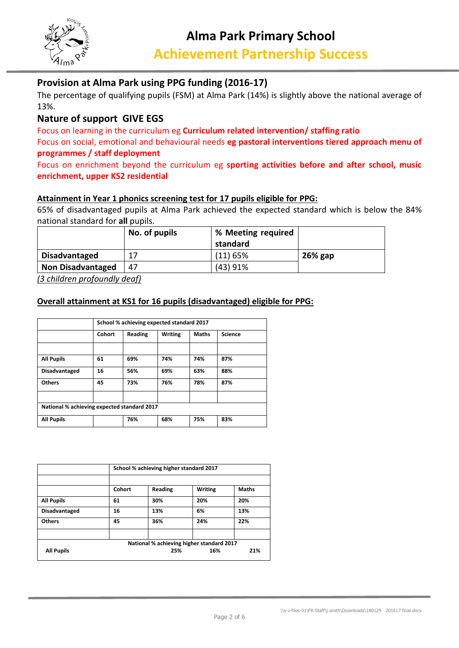

## **Provision at Alma Park using PPG funding (2016-17)**

The percentage of qualifying pupils (FSM) at Alma Park (14%) is slightly above the national average of 13%.

### **Nature of support GIVE EGS**

Focus on learning in the curriculum eg **Curriculum related intervention/ staffing ratio** Focus on social, emotional and behavioural needs **eg pastoral interventions tiered approach menu of programmes / staff deployment**

### Focus on enrichment beyond the curriculum eg **sporting activities before and after school, music enrichment, upper KS2 residential**

#### **Attainment in Year 1 phonics screening test for 17 pupils eligible for PPG:**

65% of disadvantaged pupils at Alma Park achieved the expected standard which is below the 84% national standard for **all** pupils.

|                          | No. of pupils | % Meeting required<br>standard |           |
|--------------------------|---------------|--------------------------------|-----------|
| <b>Disadvantaged</b>     | 17            | $(11)$ 65%                     | $26%$ gap |
| <b>Non Disadvantaged</b> | 47            | (43)91%                        |           |

*(3 children profoundly deaf)*

#### **Overall attainment at KS1 for 16 pupils (disadvantaged) eligible for PPG:**

|                                             |        | School % achieving expected standard 2017                   |     |     |     |  |  |  |  |
|---------------------------------------------|--------|-------------------------------------------------------------|-----|-----|-----|--|--|--|--|
|                                             | Cohort | <b>Science</b><br><b>Writing</b><br><b>Maths</b><br>Reading |     |     |     |  |  |  |  |
|                                             |        |                                                             |     |     |     |  |  |  |  |
| <b>All Pupils</b>                           | 61     | 69%                                                         | 74% | 74% | 87% |  |  |  |  |
| <b>Disadvantaged</b>                        | 16     | 56%                                                         | 69% | 63% | 88% |  |  |  |  |
| <b>Others</b>                               | 45     | 73%                                                         | 76% | 78% | 87% |  |  |  |  |
|                                             |        |                                                             |     |     |     |  |  |  |  |
| National % achieving expected standard 2017 |        |                                                             |     |     |     |  |  |  |  |
| <b>All Pupils</b>                           |        | 76%                                                         | 68% | 75% | 83% |  |  |  |  |

|                      | School % achieving higher standard 2017   |         |                |              |  |  |  |
|----------------------|-------------------------------------------|---------|----------------|--------------|--|--|--|
|                      | Cohort                                    | Reading | <b>Writing</b> | <b>Maths</b> |  |  |  |
|                      |                                           |         |                |              |  |  |  |
| <b>All Pupils</b>    | 61                                        | 30%     | 20%            | 20%          |  |  |  |
| <b>Disadvantaged</b> | 16                                        | 13%     | 6%             | 13%          |  |  |  |
| <b>Others</b>        | 45                                        | 36%     | 24%            | 22%          |  |  |  |
|                      |                                           |         |                |              |  |  |  |
|                      | National % achieving higher standard 2017 |         |                |              |  |  |  |
| <b>All Pupils</b>    |                                           | 25%     | 16%            | 21%          |  |  |  |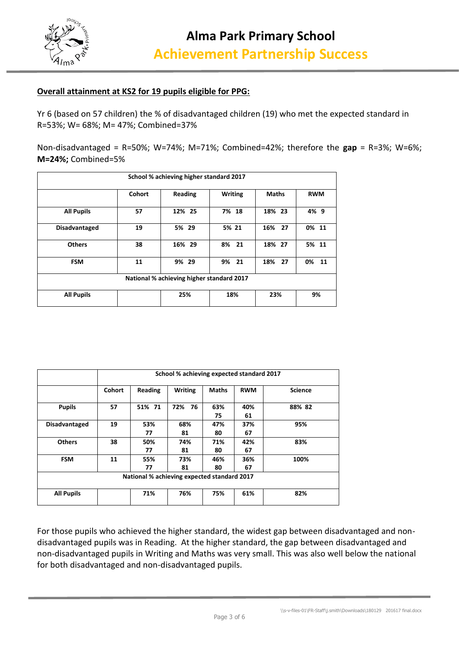

#### **Overall attainment at KS2 for 19 pupils eligible for PPG:**

Yr 6 (based on 57 children) the % of disadvantaged children (19) who met the expected standard in R=53%; W= 68%; M= 47%; Combined=37%

Non-disadvantaged = R=50%; W=74%; M=71%; Combined=42%; therefore the **gap** = R=3%; W=6%; **M=24%;** Combined=5%

|                   |               | School % achieving higher standard 2017   |                |              |            |
|-------------------|---------------|-------------------------------------------|----------------|--------------|------------|
|                   | <b>Cohort</b> | Reading                                   | <b>Writing</b> | <b>Maths</b> | <b>RWM</b> |
| <b>All Pupils</b> | 57            | 12% 25                                    | 7% 18          | 18% 23       | 4% 9       |
| Disadvantaged     | 19            | 5% 29                                     | 5% 21          | 16% 27       | 0% 11      |
| <b>Others</b>     | 38            | 16% 29                                    | 8% 21          | 18% 27       | 5% 11      |
| <b>FSM</b>        | 11            | 9% 29                                     | 9% 21          | 18% 27       | 0%<br>-11  |
|                   |               | National % achieving higher standard 2017 |                |              |            |
| <b>All Pupils</b> |               | 25%                                       | 18%            | 23%          | 9%         |

|                                             | School % achieving expected standard 2017 |           |                |              |            |                |  |  |  |
|---------------------------------------------|-------------------------------------------|-----------|----------------|--------------|------------|----------------|--|--|--|
|                                             | Cohort                                    | Reading   | <b>Writing</b> | <b>Maths</b> | <b>RWM</b> | <b>Science</b> |  |  |  |
| <b>Pupils</b>                               | 57                                        | 51% 71    | 76<br>72%      | 63%<br>75    | 40%<br>61  | 88% 82         |  |  |  |
| Disadvantaged                               | 19                                        | 53%<br>77 | 68%<br>81      | 47%<br>80    | 37%<br>67  | 95%            |  |  |  |
| <b>Others</b>                               | 38                                        | 50%<br>77 | 74%<br>81      | 71%<br>80    | 42%<br>67  | 83%            |  |  |  |
| <b>FSM</b>                                  | 11                                        | 55%<br>77 | 73%<br>81      | 46%<br>80    | 36%<br>67  | 100%           |  |  |  |
| National % achieving expected standard 2017 |                                           |           |                |              |            |                |  |  |  |
| <b>All Pupils</b>                           |                                           | 71%       | 76%            | 75%          | 61%        | 82%            |  |  |  |

For those pupils who achieved the higher standard, the widest gap between disadvantaged and nondisadvantaged pupils was in Reading. At the higher standard, the gap between disadvantaged and non-disadvantaged pupils in Writing and Maths was very small. This was also well below the national for both disadvantaged and non-disadvantaged pupils.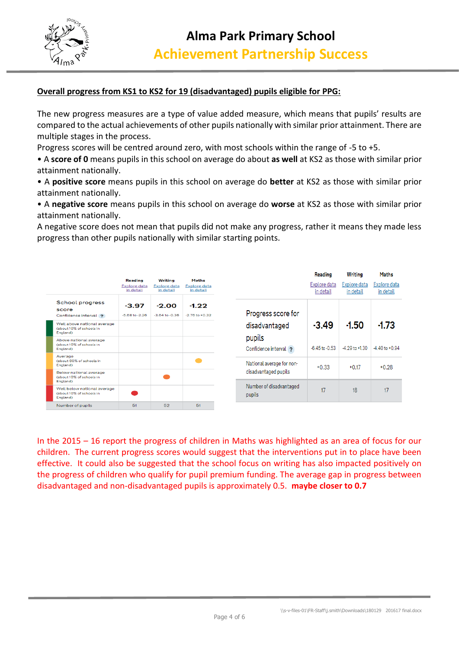

#### **Overall progress from KS1 to KS2 for 19 (disadvantaged) pupils eligible for PPG:**

The new progress measures are a type of value added measure, which means that pupils' results are compared to the actual achievements of other pupils nationally with similar prior attainment. There are multiple stages in the process.

Progress scores will be centred around zero, with most schools within the range of -5 to +5.

• A **score of 0** means pupils in this school on average do about **as well** at KS2 as those with similar prior attainment nationally.

• A **positive score** means pupils in this school on average do **better** at KS2 as those with similar prior attainment nationally.

• A **negative score** means pupils in this school on average do **worse** at KS2 as those with similar prior attainment nationally.

A negative score does not mean that pupils did not make any progress, rather it means they made less progress than other pupils nationally with similar starting points.

|                                                                     |                                             |                                             |                                                  |                                   | <b>Reading</b>            | Writing                   | Maths                     |
|---------------------------------------------------------------------|---------------------------------------------|---------------------------------------------|--------------------------------------------------|-----------------------------------|---------------------------|---------------------------|---------------------------|
|                                                                     | Reading<br><b>Explore data</b><br>in detail | Writing<br><b>Explore data</b><br>in detail | <b>Maths</b><br><b>Explore data</b><br>in detail |                                   | Explore data<br>in detail | Explore data<br>in detail | Explore data<br>in detail |
| School progress<br>score<br>Confidence interval ?                   | $-3.97$<br>$-5.68$ to $-2.26$               | $-2.00$<br>$-3.64$ to $-0.36$               | $-1.22$<br>$-2.76$ to $+0.32$                    | Progress score for                |                           |                           |                           |
| Well above national average<br>(about 10% of schools in<br>England) |                                             |                                             |                                                  | disadvantaged                     | $-3.49$                   | $-1.50$                   | $-1.73$                   |
| Above national average<br>(about 10% of schools in<br>England)      |                                             |                                             |                                                  | pupils<br>Confidence interval ?   | $-6.45$ to $-0.53$        | $-4.29$ to $+1.30$        | $-4.40$ to $+0.94$        |
| Average<br>(about 60% of schools in<br>England)                     |                                             |                                             |                                                  | National average for non-         | $+0.33$                   | $+0.17$                   | $+0.28$                   |
| Below national average<br>(about 10% of schools in<br>England)      |                                             |                                             |                                                  | disadvantaged pupils              |                           |                           |                           |
| Well below national average<br>(about 10% of schools in<br>England) |                                             |                                             |                                                  | Number of disadvantaged<br>pupils | 17                        | 18                        | 17                        |
| Number of pupils                                                    | 51                                          | 52                                          | 51                                               |                                   |                           |                           |                           |

In the 2015 – 16 report the progress of children in Maths was highlighted as an area of focus for our children. The current progress scores would suggest that the interventions put in to place have been effective. It could also be suggested that the school focus on writing has also impacted positively on the progress of children who qualify for pupil premium funding. The average gap in progress between disadvantaged and non-disadvantaged pupils is approximately 0.5. **maybe closer to 0.7**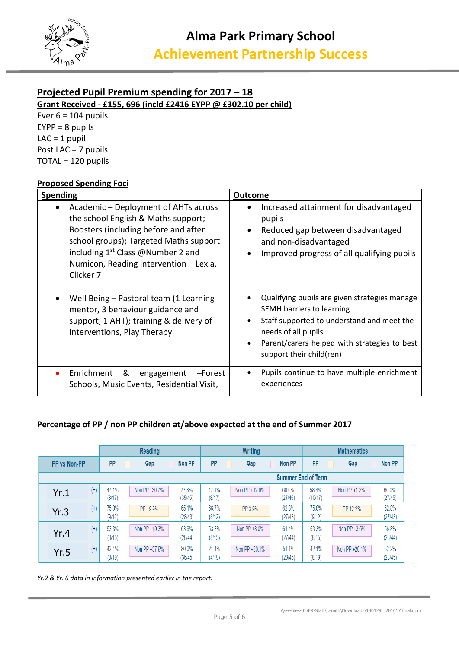

## **Projected Pupil Premium spending for 2017 – 18**

**Grant Received - £155, 696 (incld £2416 EYPP @ £302.10 per child)**

Ever  $6 = 104$  pupils EYPP = 8 pupils  $LAC = 1$  pupil Post LAC = 7 pupils TOTAL = 120 pupils

#### **Proposed Spending Foci**

| Spending                                                                                                                                                                                                                                                       | <b>Outcome</b>                                                                                                                                                                                                              |  |  |  |
|----------------------------------------------------------------------------------------------------------------------------------------------------------------------------------------------------------------------------------------------------------------|-----------------------------------------------------------------------------------------------------------------------------------------------------------------------------------------------------------------------------|--|--|--|
| Academic - Deployment of AHTs across<br>the school English & Maths support;<br>Boosters (including before and after<br>school groups); Targeted Maths support<br>including $1^{st}$ Class @Number 2 and<br>Numicon, Reading intervention - Lexia,<br>Clicker 7 | Increased attainment for disadvantaged<br>pupils<br>Reduced gap between disadvantaged<br>and non-disadvantaged<br>Improved progress of all qualifying pupils                                                                |  |  |  |
| Well Being – Pastoral team (1 Learning<br>mentor, 3 behaviour guidance and<br>support, 1 AHT); training & delivery of<br>interventions, Play Therapy                                                                                                           | Qualifying pupils are given strategies manage<br>SEMH barriers to learning<br>Staff supported to understand and meet the<br>needs of all pupils<br>Parent/carers helped with strategies to best<br>support their child(ren) |  |  |  |
| Enrichment<br>&<br>-Forest<br>engagement<br>Schools, Music Events, Residential Visit,                                                                                                                                                                          | Pupils continue to have multiple enrichment<br>$\bullet$<br>experiences                                                                                                                                                     |  |  |  |

#### **Percentage of PP / non PP children at/above expected at the end of Summer 2017**

|                  |                 | Reading       |                  | <b>Writing</b>  |               |                           | <b>Mathematics</b> |               |                  |
|------------------|-----------------|---------------|------------------|-----------------|---------------|---------------------------|--------------------|---------------|------------------|
| PP vs Non-PP     | <b>PP</b>       | Gap           | Non PP           | PP              | Gap           | Non PP                    | PP                 | Gap           | Non PP           |
|                  |                 |               |                  |                 |               | <b>Summer End of Term</b> |                    |               |                  |
| $(+)$<br>Yr.1    | 47.1%<br>(8/17) | Non PP +30.7% | 77.8%<br>(35/45) | 47.1%<br>(8/17) | Non PP +12.9% | 60.0%<br>(27/45)          | 58.8%<br>(10/17)   | Non PP +1.2%  | 60.0%<br>(27/45) |
| $^{(+)}$<br>Yr.3 | 75.0%<br>(9/12) | PP +9.9%      | 65.1%<br>(28/43) | 66.7%<br>(8/12) | PP 3.9%       | 62.8%<br>(27/43)          | 75.0%<br>(9/12)    | PP 12.2%      | 62.8%<br>(27/43) |
| $^{(+)}$<br>Yr.4 | 53.3%<br>(8/15) | Non PP +10.3% | 63.6%<br>(28/44) | 53.3%<br>(8/15) | Non PP +8.0%  | 61.4%<br>(27/44)          | 53.3%<br>(8/15)    | Non PP +3.5%  | 56.8%<br>(25/44) |
| $(+)$<br>Yr.5    | 42.1%<br>(8/19) | Non PP +37.9% | 80.0%<br>(36/45) | 21.1%<br>(4/19) | Non PP +30.1% | 51.1%<br>(23/45)          | 42.1%<br>(8/19)    | Non PP +20.1% | 62.2%<br>(28/45) |

*Yr.2 & Yr. 6 data in information presented earlier in the report.*